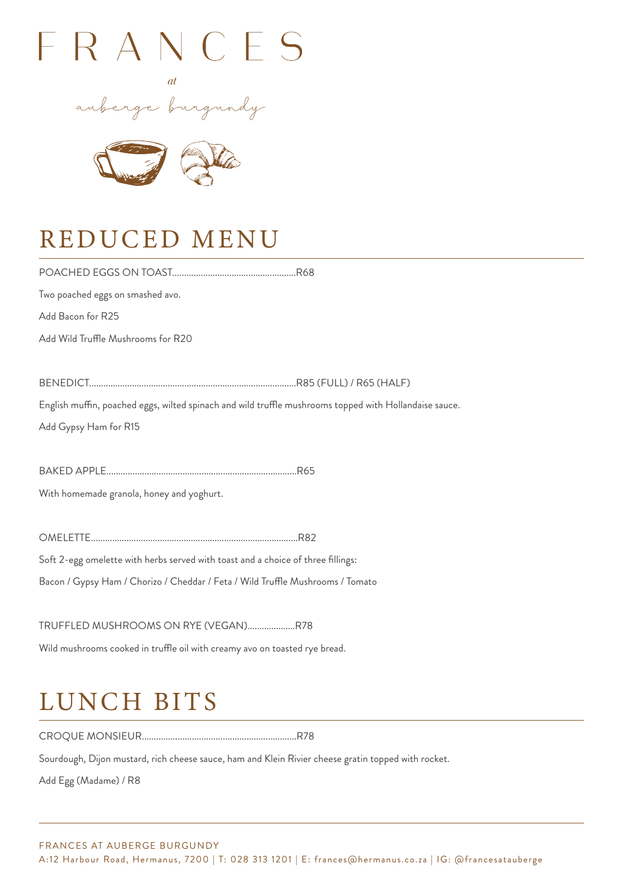

auberge burgundy



### REDUCED MENU

POACHED EGGS ON TOAST....................................................R68 Two poached eggs on smashed avo. Add Bacon for R25 Add Wild Truffle Mushrooms for R20 BENEDICT.......................................................................................R85 (FULL) / R65 (HALF) English muffin, poached eggs, wilted spinach and wild truffle mushrooms topped with Hollandaise sauce. Add Gypsy Ham for R15 BAKED APPLE................................................................................R65 With homemade granola, honey and yoghurt. OMELETTE.......................................................................................R82 Soft 2-egg omelette with herbs served with toast and a choice of three fillings: Bacon / Gypsy Ham / Chorizo / Cheddar / Feta / Wild Truffle Mushrooms / Tomato TRUFFLED MUSHROOMS ON RYE (VEGAN)....................R78 Wild mushrooms cooked in truffle oil with creamy avo on toasted rye bread.

# LUNCH BITS

CROQUE MONSIEUR.................................................................R78

Sourdough, Dijon mustard, rich cheese sauce, ham and Klein Rivier cheese gratin topped with rocket.

Add Egg (Madame) / R8